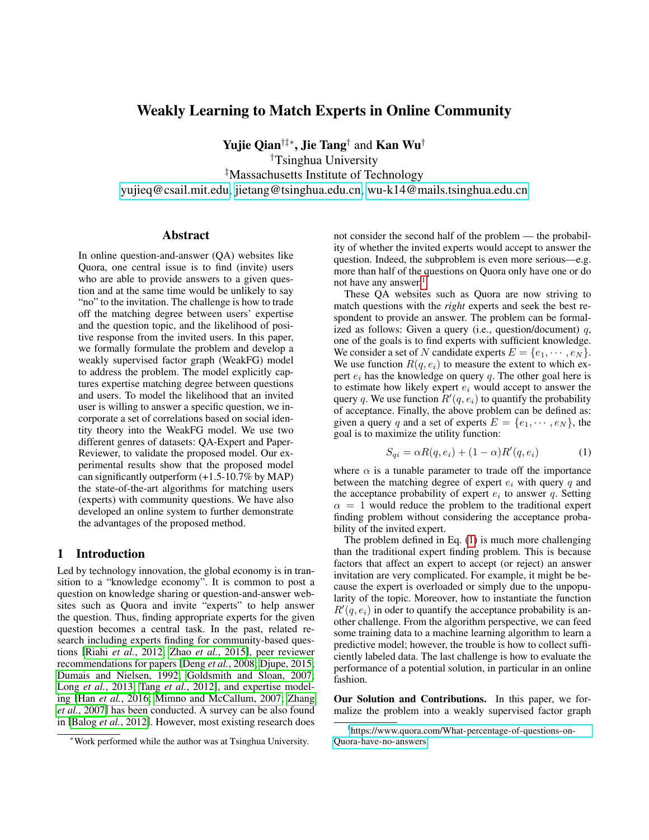# Weakly Learning to Match Experts in Online Community

Yujie Qian†‡∗, Jie Tang† and Kan Wu†

†Tsinghua University ‡Massachusetts Institute of Technology

[yujieq@csail.mit.edu,](mailto:yujieq@csail.mit.edu) [jietang@tsinghua.edu.cn,](mailto:jietang@tsinghua.edu.cn) [wu-k14@mails.tsinghua.edu.cn](mailto:wu-k14@mails.tsinghua.edu.cn)

#### Abstract

In online question-and-answer (QA) websites like Quora, one central issue is to find (invite) users who are able to provide answers to a given question and at the same time would be unlikely to say "no" to the invitation. The challenge is how to trade off the matching degree between users' expertise and the question topic, and the likelihood of positive response from the invited users. In this paper, we formally formulate the problem and develop a weakly supervised factor graph (WeakFG) model to address the problem. The model explicitly captures expertise matching degree between questions and users. To model the likelihood that an invited user is willing to answer a specific question, we incorporate a set of correlations based on social identity theory into the WeakFG model. We use two different genres of datasets: QA-Expert and Paper-Reviewer, to validate the proposed model. Our experimental results show that the proposed model can significantly outperform (+1.5-10.7% by MAP) the state-of-the-art algorithms for matching users (experts) with community questions. We have also developed an online system to further demonstrate the advantages of the proposed method.

#### 1 Introduction

Led by technology innovation, the global economy is in transition to a "knowledge economy". It is common to post a question on knowledge sharing or question-and-answer websites such as Quora and invite "experts" to help answer the question. Thus, finding appropriate experts for the given question becomes a central task. In the past, related research including experts finding for community-based questions [Riahi *et al.*[, 2012;](#page-6-0) Zhao *et al.*[, 2015\]](#page-6-1), peer reviewer recommendations for papers [Deng *et al.*[, 2008;](#page-6-2) [Djupe, 2015;](#page-6-3) [Dumais and Nielsen, 1992;](#page-6-4) [Goldsmith and Sloan, 2007;](#page-6-5) Long *et al.*[, 2013;](#page-6-6) Tang *et al.*[, 2012\]](#page-6-7), and expertise modeling [Han *et al.*[, 2016;](#page-6-8) [Mimno and McCallum, 2007;](#page-6-9) [Zhang](#page-6-10) *et al.*[, 2007\]](#page-6-10) has been conducted. A survey can be also found in [Balog *et al.*[, 2012\]](#page-6-11). However, most existing research does not consider the second half of the problem — the probability of whether the invited experts would accept to answer the question. Indeed, the subproblem is even more serious—e.g. more than half of the questions on Quora only have one or do not have any answer. $<sup>1</sup>$  $<sup>1</sup>$  $<sup>1</sup>$ </sup>

These QA websites such as Quora are now striving to match questions with the *right* experts and seek the best respondent to provide an answer. The problem can be formalized as follows: Given a query (i.e., question/document)  $q$ , one of the goals is to find experts with sufficient knowledge. We consider a set of N candidate experts  $E = \{e_1, \dots, e_N\}.$ We use function  $R(q, e_i)$  to measure the extent to which expert  $e_i$  has the knowledge on query  $q$ . The other goal here is to estimate how likely expert  $e_i$  would accept to answer the query q. We use function  $R'(q, e_i)$  to quantify the probability of acceptance. Finally, the above problem can be defined as: given a query q and a set of experts  $E = \{e_1, \dots, e_N\}$ , the goal is to maximize the utility function:

<span id="page-0-1"></span>
$$
S_{qi} = \alpha R(q, e_i) + (1 - \alpha)R'(q, e_i)
$$
 (1)

where  $\alpha$  is a tunable parameter to trade off the importance between the matching degree of expert  $e_i$  with query q and the acceptance probability of expert  $e_i$  to answer q. Setting  $\alpha = 1$  would reduce the problem to the traditional expert finding problem without considering the acceptance probability of the invited expert.

The problem defined in Eq. [\(1\)](#page-0-1) is much more challenging than the traditional expert finding problem. This is because factors that affect an expert to accept (or reject) an answer invitation are very complicated. For example, it might be because the expert is overloaded or simply due to the unpopularity of the topic. Moreover, how to instantiate the function  $R'(q, e_i)$  in oder to quantify the acceptance probability is another challenge. From the algorithm perspective, we can feed some training data to a machine learning algorithm to learn a predictive model; however, the trouble is how to collect sufficiently labeled data. The last challenge is how to evaluate the performance of a potential solution, in particular in an online fashion.

Our Solution and Contributions. In this paper, we formalize the problem into a weakly supervised factor graph

<sup>∗</sup>Work performed while the author was at Tsinghua University.

<span id="page-0-0"></span><sup>1</sup> [https://www.quora.com/What-percentage-of-questions-on-](https://www.quora.com/What-percentage-of-questions-on-Quora-have-no-answers)[Quora-have-no-answers](https://www.quora.com/What-percentage-of-questions-on-Quora-have-no-answers)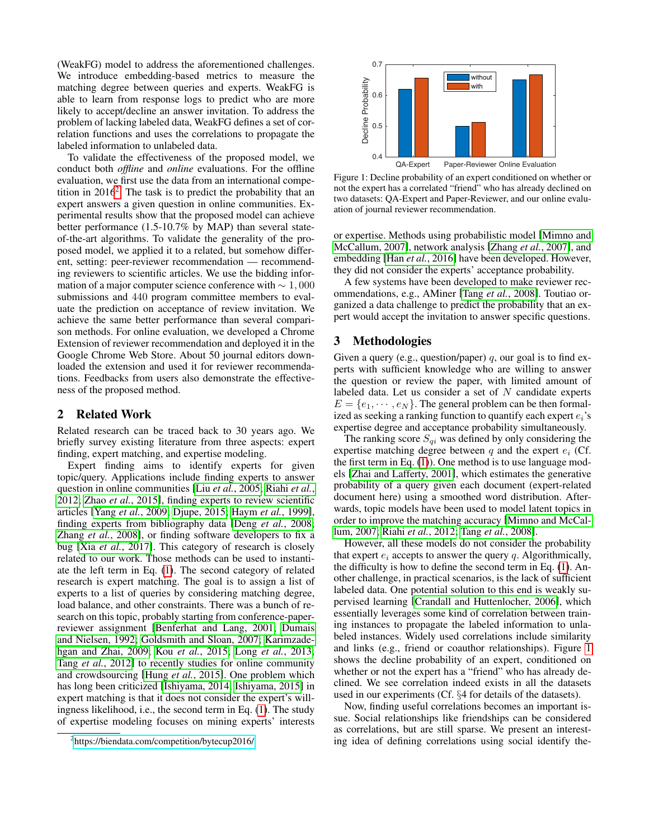(WeakFG) model to address the aforementioned challenges. We introduce embedding-based metrics to measure the matching degree between queries and experts. WeakFG is able to learn from response logs to predict who are more likely to accept/decline an answer invitation. To address the problem of lacking labeled data, WeakFG defines a set of correlation functions and uses the correlations to propagate the labeled information to unlabeled data.

To validate the effectiveness of the proposed model, we conduct both *offline* and *online* evaluations. For the offline evaluation, we first use the data from an international competition in  $2016^2$  $2016^2$ . The task is to predict the probability that an expert answers a given question in online communities. Experimental results show that the proposed model can achieve better performance (1.5-10.7% by MAP) than several stateof-the-art algorithms. To validate the generality of the proposed model, we applied it to a related, but somehow different, setting: peer-reviewer recommendation — recommending reviewers to scientific articles. We use the bidding information of a major computer science conference with  $\sim 1,000$ submissions and 440 program committee members to evaluate the prediction on acceptance of review invitation. We achieve the same better performance than several comparison methods. For online evaluation, we developed a Chrome Extension of reviewer recommendation and deployed it in the Google Chrome Web Store. About 50 journal editors downloaded the extension and used it for reviewer recommendations. Feedbacks from users also demonstrate the effectiveness of the proposed method.

## 2 Related Work

Related research can be traced back to 30 years ago. We briefly survey existing literature from three aspects: expert finding, expert matching, and expertise modeling.

Expert finding aims to identify experts for given topic/query. Applications include finding experts to answer question in online communities [Liu *et al.*[, 2005;](#page-6-12) [Riahi](#page-6-0) *et al.*, [2012;](#page-6-0) Zhao *et al.*[, 2015\]](#page-6-1), finding experts to review scientific articles [Yang *et al.*[, 2009;](#page-6-13) [Djupe, 2015;](#page-6-3) Haym *et al.*[, 1999\]](#page-6-14), finding experts from bibliography data [Deng *et al.*[, 2008;](#page-6-2) Zhang *et al.*[, 2008\]](#page-6-15), or finding software developers to fix a bug [Xia *et al.*[, 2017\]](#page-6-16). This category of research is closely related to our work. Those methods can be used to instantiate the left term in Eq. [\(1\)](#page-0-1). The second category of related research is expert matching. The goal is to assign a list of experts to a list of queries by considering matching degree, load balance, and other constraints. There was a bunch of research on this topic, probably starting from conference-paperreviewer assignment [\[Benferhat and Lang, 2001;](#page-6-17) [Dumais](#page-6-4) [and Nielsen, 1992;](#page-6-4) [Goldsmith and Sloan, 2007;](#page-6-5) [Karimzade](#page-6-18)[hgan and Zhai, 2009;](#page-6-18) Kou *et al.*[, 2015;](#page-6-19) Long *et al.*[, 2013;](#page-6-6) Tang *et al.*[, 2012\]](#page-6-7) to recently studies for online community and crowdsourcing [Hung *et al.*[, 2015\]](#page-6-20). One problem which has long been criticized [\[Ishiyama, 2014;](#page-6-21) [Ishiyama, 2015\]](#page-6-22) in expert matching is that it does not consider the expert's willingness likelihood, i.e., the second term in Eq. [\(1\)](#page-0-1). The study of expertise modeling focuses on mining experts' interests

<span id="page-1-1"></span>

Figure 1: Decline probability of an expert conditioned on whether or not the expert has a correlated "friend" who has already declined on two datasets: QA-Expert and Paper-Reviewer, and our online evaluation of journal reviewer recommendation.

or expertise. Methods using probabilistic model [\[Mimno and](#page-6-9) [McCallum, 2007\]](#page-6-9), network analysis [\[Zhang](#page-6-10) *et al.*, 2007], and embedding [Han *et al.*[, 2016\]](#page-6-8) have been developed. However, they did not consider the experts' acceptance probability.

A few systems have been developed to make reviewer recommendations, e.g., AMiner [Tang *et al.*[, 2008\]](#page-6-23). Toutiao organized a data challenge to predict the probability that an expert would accept the invitation to answer specific questions.

#### 3 Methodologies

Given a query (e.g., question/paper) q, our goal is to find experts with sufficient knowledge who are willing to answer the question or review the paper, with limited amount of labeled data. Let us consider a set of  $N$  candidate experts  $E = \{e_1, \dots, e_N\}$ . The general problem can be then formalized as seeking a ranking function to quantify each expert  $e_i$ 's expertise degree and acceptance probability simultaneously.

The ranking score  $S_{qi}$  was defined by only considering the expertise matching degree between q and the expert  $e_i$  (Cf. the first term in Eq. [\(1\)](#page-0-1)). One method is to use language models [\[Zhai and Lafferty, 2001\]](#page-6-24), which estimates the generative probability of a query given each document (expert-related document here) using a smoothed word distribution. Afterwards, topic models have been used to model latent topics in order to improve the matching accuracy [\[Mimno and McCal](#page-6-9)[lum, 2007;](#page-6-9) Riahi *et al.*[, 2012;](#page-6-0) Tang *et al.*[, 2008\]](#page-6-23).

However, all these models do not consider the probability that expert  $e_i$  accepts to answer the query  $q$ . Algorithmically, the difficulty is how to define the second term in Eq. [\(1\)](#page-0-1). Another challenge, in practical scenarios, is the lack of sufficient labeled data. One potential solution to this end is weakly supervised learning [\[Crandall and Huttenlocher, 2006\]](#page-6-25), which essentially leverages some kind of correlation between training instances to propagate the labeled information to unlabeled instances. Widely used correlations include similarity and links (e.g., friend or coauthor relationships). Figure [1](#page-1-1) shows the decline probability of an expert, conditioned on whether or not the expert has a "friend" who has already declined. We see correlation indeed exists in all the datasets used in our experiments (Cf. §4 for details of the datasets).

Now, finding useful correlations becomes an important issue. Social relationships like friendships can be considered as correlations, but are still sparse. We present an interesting idea of defining correlations using social identify the-

<span id="page-1-0"></span><sup>&</sup>lt;sup>2</sup><https://biendata.com/competition/bytecup2016/>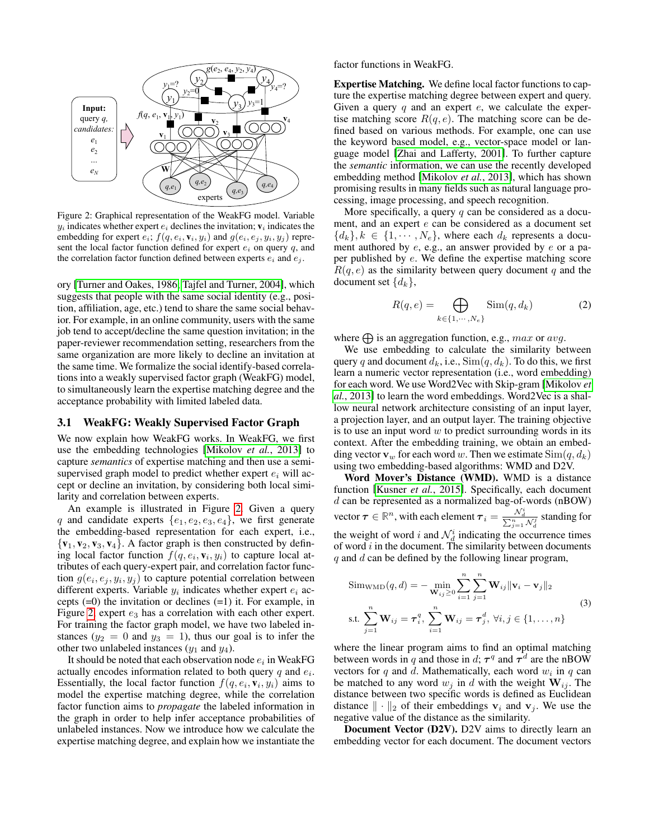<span id="page-2-0"></span>

Figure 2: Graphical representation of the WeakFG model. Variable  $y_i$  indicates whether expert  $e_i$  declines the invitation;  $v_i$  indicates the embedding for expert  $e_i$ ;  $f(q, e_i, v_i, y_i)$  and  $g(e_i, e_j, y_i, y_j)$  represent the local factor function defined for expert  $e_i$  on query q, and the correlation factor function defined between experts  $e_i$  and  $e_j$ .

ory [\[Turner and Oakes, 1986;](#page-6-26) [Tajfel and Turner, 2004\]](#page-6-27), which suggests that people with the same social identity (e.g., position, affiliation, age, etc.) tend to share the same social behavior. For example, in an online community, users with the same job tend to accept/decline the same question invitation; in the paper-reviewer recommendation setting, researchers from the same organization are more likely to decline an invitation at the same time. We formalize the social identify-based correlations into a weakly supervised factor graph (WeakFG) model, to simultaneously learn the expertise matching degree and the acceptance probability with limited labeled data.

#### 3.1 WeakFG: Weakly Supervised Factor Graph

We now explain how WeakFG works. In WeakFG, we first use the embedding technologies [\[Mikolov](#page-6-28) *et al.*, 2013] to capture *semantics* of expertise matching and then use a semisupervised graph model to predict whether expert  $e_i$  will accept or decline an invitation, by considering both local similarity and correlation between experts.

An example is illustrated in Figure [2.](#page-2-0) Given a query q and candidate experts  $\{e_1, e_2, e_3, e_4\}$ , we first generate the embedding-based representation for each expert, i.e.,  ${v_1, v_2, v_3, v_4}$ . A factor graph is then constructed by defining local factor function  $f(q, e_i, v_i, y_i)$  to capture local attributes of each query-expert pair, and correlation factor function  $g(e_i, e_j, y_i, y_j)$  to capture potential correlation between different experts. Variable  $y_i$  indicates whether expert  $e_i$  accepts (=0) the invitation or declines (=1) it. For example, in Figure [2,](#page-2-0) expert  $e_3$  has a correlation with each other expert. For training the factor graph model, we have two labeled instances  $(y_2 = 0$  and  $y_3 = 1)$ , thus our goal is to infer the other two unlabeled instances  $(y_1$  and  $y_4$ ).

It should be noted that each observation node  $e_i$  in WeakFG actually encodes information related to both query  $q$  and  $e_i$ . Essentially, the local factor function  $f(q, e_i, v_i, y_i)$  aims to model the expertise matching degree, while the correlation factor function aims to *propagate* the labeled information in the graph in order to help infer acceptance probabilities of unlabeled instances. Now we introduce how we calculate the expertise matching degree, and explain how we instantiate the factor functions in WeakFG.

Expertise Matching. We define local factor functions to capture the expertise matching degree between expert and query. Given a query  $q$  and an expert  $e$ , we calculate the expertise matching score  $R(q, e)$ . The matching score can be defined based on various methods. For example, one can use the keyword based model, e.g., vector-space model or language model [\[Zhai and Lafferty, 2001\]](#page-6-24). To further capture the *semantic* information, we can use the recently developed embedding method [\[Mikolov](#page-6-28) *et al.*, 2013], which has shown promising results in many fields such as natural language processing, image processing, and speech recognition.

More specifically, a query  $q$  can be considered as a document, and an expert e can be considered as a document set  ${d_k}, k \in \{1, \cdots, N_e\}$ , where each  $d_k$  represents a document authored by e, e.g., an answer provided by e or a paper published by e. We define the expertise matching score  $R(q, e)$  as the similarity between query document q and the document set  $\{d_k\},\$ 

<span id="page-2-1"></span>
$$
R(q, e) = \bigoplus_{k \in \{1, \cdots, N_e\}} \text{Sim}(q, d_k)
$$
 (2)

where  $\bigoplus$  is an aggregation function, e.g., max or avg.

We use embedding to calculate the similarity between query q and document  $d_k$ , i.e.,  $\text{Sim}(q, d_k)$ . To do this, we first learn a numeric vector representation (i.e., word embedding) for each word. We use Word2Vec with Skip-gram [\[Mikolov](#page-6-28) *et al.*[, 2013\]](#page-6-28) to learn the word embeddings. Word2Vec is a shallow neural network architecture consisting of an input layer, a projection layer, and an output layer. The training objective is to use an input word  $w$  to predict surrounding words in its context. After the embedding training, we obtain an embedding vector  $\mathbf{v}_w$  for each word w. Then we estimate  $\text{Sim}(q, d_k)$ using two embedding-based algorithms: WMD and D2V.

Word Mover's Distance (WMD). WMD is a distance function [\[Kusner](#page-6-29) *et al.*, 2015]. Specifically, each document  $d$  can be represented as a normalized bag-of-words (nBOW)  $\,$ vector  $\bm{\tau} \in \mathbb{R}^n$ , with each element  $\bm{\tau}_i = \frac{\mathcal{N}_d^i}{\sum_{j=1}^n \mathcal{N}_d^j}$  standing for the weight of word i and  $\mathcal{N}_d^i$  indicating the occurrence times of word  $i$  in the document. The similarity between documents  $q$  and  $d$  can be defined by the following linear program,

<span id="page-2-2"></span>
$$
\text{SimwMD}(q, d) = -\min_{\mathbf{W}_{ij} \geq 0} \sum_{i=1}^{n} \sum_{j=1}^{n} \mathbf{W}_{ij} \|\mathbf{v}_i - \mathbf{v}_j\|_2
$$
\n
$$
\text{s.t. } \sum_{j=1}^{n} \mathbf{W}_{ij} = \boldsymbol{\tau}_i^q, \sum_{i=1}^{n} \mathbf{W}_{ij} = \boldsymbol{\tau}_j^d, \ \forall i, j \in \{1, \dots, n\}
$$
\n
$$
(3)
$$

where the linear program aims to find an optimal matching between words in q and those in d;  $\tau^q$  and  $\tau^d$  are the nBOW vectors for  $q$  and  $d$ . Mathematically, each word  $w_i$  in  $q$  can be matched to any word  $w_i$  in d with the weight  $W_{ij}$ . The distance between two specific words is defined as Euclidean distance  $\|\cdot\|_2$  of their embeddings  $v_i$  and  $v_j$ . We use the negative value of the distance as the similarity.

Document Vector (D2V). D2V aims to directly learn an embedding vector for each document. The document vectors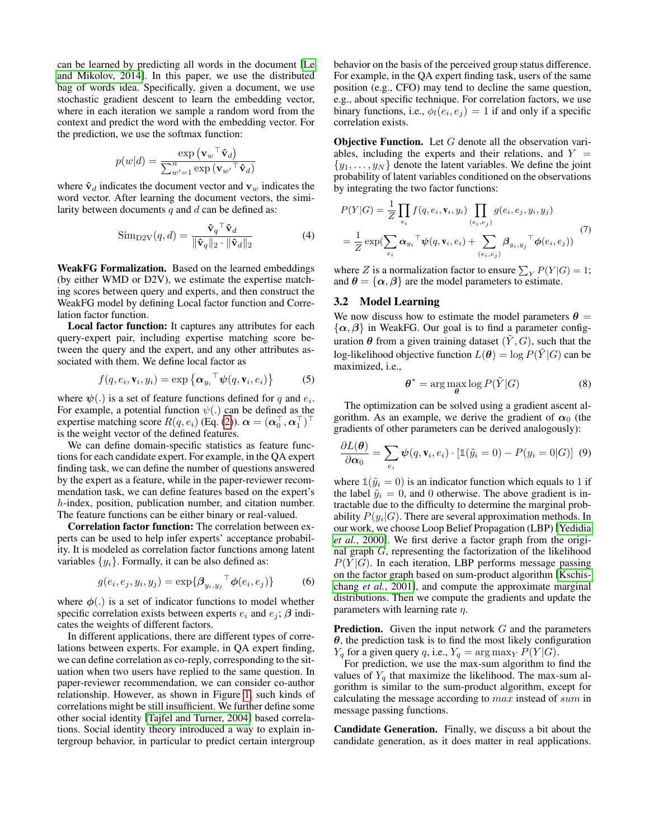can be learned by predicting all words in the document [\[Le](#page-6-30) [and Mikolov, 2014\]](#page-6-30). In this paper, we use the distributed bag of words idea. Specifically, given a document, we use stochastic gradient descent to learn the embedding vector, where in each iteration we sample a random word from the context and predict the word with the embedding vector. For the prediction, we use the softmax function:

$$
p(w|d) = \frac{\exp(\mathbf{v}_{w}^{\top} \hat{\mathbf{v}}_{d})}{\sum_{w'=1}^{n} \exp(\mathbf{v}_{w'}^{\top} \hat{\mathbf{v}}_{d})}
$$

where  $\hat{v}_d$  indicates the document vector and  $v_w$  indicates the word vector. After learning the document vectors, the similarity between documents  $q$  and  $d$  can be defined as:

<span id="page-3-0"></span>
$$
\text{Sim}_{\text{D2V}}(q, d) = \frac{\hat{\mathbf{v}}_q^\top \hat{\mathbf{v}}_d}{\|\hat{\mathbf{v}}_q\|_2 \cdot \|\hat{\mathbf{v}}_d\|_2} \tag{4}
$$

WeakFG Formalization. Based on the learned embeddings (by either WMD or D2V), we estimate the expertise matching scores between query and experts, and then construct the WeakFG model by defining Local factor function and Correlation factor function.

Local factor function: It captures any attributes for each query-expert pair, including expertise matching score between the query and the expert, and any other attributes associated with them. We define local factor as

$$
f(q, e_i, \mathbf{v}_i, y_i) = \exp\left\{ \boldsymbol{\alpha}_{y_i}^\top \boldsymbol{\psi}(q, \mathbf{v}_i, e_i) \right\} \tag{5}
$$

where  $\psi(.)$  is a set of feature functions defined for q and  $e_i$ . For example, a potential function  $\psi(.)$  can be defined as the expertise matching score  $R(q, e_i)$  (Eq. [\(2\)](#page-2-1)).  $\boldsymbol{\alpha} = (\boldsymbol{\alpha}_0^{\top}, \boldsymbol{\alpha}_1^{\top})^{\top}$ is the weight vector of the defined features.

We can define domain-specific statistics as feature functions for each candidate expert. For example, in the QA expert finding task, we can define the number of questions answered by the expert as a feature, while in the paper-reviewer recommendation task, we can define features based on the expert's h-index, position, publication number, and citation number. The feature functions can be either binary or real-valued.

Correlation factor function: The correlation between experts can be used to help infer experts' acceptance probability. It is modeled as correlation factor functions among latent variables  $\{y_i\}$ . Formally, it can be also defined as:

$$
g(e_i, e_j, y_i, y_j) = \exp\{\beta_{y_i, y_j}^\top \phi(e_i, e_j)\}\tag{6}
$$

where  $\phi(.)$  is a set of indicator functions to model whether specific correlation exists between experts  $e_i$  and  $e_j$ ;  $\beta$  indicates the weights of different factors.

In different applications, there are different types of correlations between experts. For example, in QA expert finding, we can define correlation as co-reply, corresponding to the situation when two users have replied to the same question. In paper-reviewer recommendation, we can consider co-author relationship. However, as shown in Figure [1,](#page-1-1) such kinds of correlations might be still insufficient. We further define some other social identity [\[Tajfel and Turner, 2004\]](#page-6-27) based correlations. Social identity theory introduced a way to explain intergroup behavior, in particular to predict certain intergroup behavior on the basis of the perceived group status difference. For example, in the QA expert finding task, users of the same position (e.g., CFO) may tend to decline the same question, e.g., about specific technique. For correlation factors, we use binary functions, i.e.,  $\phi_l(e_i, e_j) = 1$  if and only if a specific correlation exists.

**Objective Function.** Let  $G$  denote all the observation variables, including the experts and their relations, and  $Y =$  $\{y_1, \ldots, y_N\}$  denote the latent variables. We define the joint probability of latent variables conditioned on the observations by integrating the two factor functions:

$$
P(Y|G) = \frac{1}{Z} \prod_{e_i} f(q, e_i, \mathbf{v}_i, y_i) \prod_{(e_i, e_j)} g(e_i, e_j, y_i, y_j)
$$
  
= 
$$
\frac{1}{Z} \exp(\sum_{e_i} \alpha_{y_i}^\top \psi(q, \mathbf{v}_i, e_i) + \sum_{(e_i, e_j)} \beta_{y_i, y_j}^\top \phi(e_i, e_j))
$$
 (7)

where Z is a normalization factor to ensure  $\sum_{Y} P(Y|G) = 1$ ; and  $\theta = {\alpha, \beta}$  are the model parameters to estimate.

#### 3.2 Model Learning

We now discuss how to estimate the model parameters  $\theta =$  $\{\alpha, \beta\}$  in WeakFG. Our goal is to find a parameter configuration  $\theta$  from a given training dataset  $(Y, G)$ , such that the log-likelihood objective function  $L(\theta) = \log P(\tilde{Y} | G)$  can be maximized, i.e.,

$$
\boldsymbol{\theta}^* = \arg\max_{\boldsymbol{\theta}} \log P(\tilde{Y}|G) \tag{8}
$$

The optimization can be solved using a gradient ascent algorithm. As an example, we derive the gradient of  $\alpha_0$  (the gradients of other parameters can be derived analogously):

$$
\frac{\partial L(\boldsymbol{\theta})}{\partial \boldsymbol{\alpha}_0} = \sum_{e_i} \boldsymbol{\psi}(q, \mathbf{v}_i, e_i) \cdot \left[ \mathbb{1}(\tilde{y}_i = 0) - P(y_i = 0 | G) \right] \tag{9}
$$

where  $\mathbb{1}(\tilde{y}_i = 0)$  is an indicator function which equals to 1 if the label  $\tilde{y}_i = 0$ , and 0 otherwise. The above gradient is intractable due to the difficulty to determine the marginal probability  $P(y_i|G)$ . There are several approximation methods. In our work, we choose Loop Belief Propagation (LBP) [\[Yedidia](#page-6-31) *et al.*[, 2000\]](#page-6-31). We first derive a factor graph from the original graph G, representing the factorization of the likelihood  $P(Y|G)$ . In each iteration, LBP performs message passing on the factor graph based on sum-product algorithm [\[Kschis](#page-6-32)chang *et al.*[, 2001\]](#page-6-32), and compute the approximate marginal distributions. Then we compute the gradients and update the parameters with learning rate  $\eta$ .

**Prediction.** Given the input network  $G$  and the parameters  $\theta$ , the prediction task is to find the most likely configuration  $Y_q$  for a given query q, i.e.,  $Y_q = \arg \max_Y P(Y|G)$ .

For prediction, we use the max-sum algorithm to find the values of  $Y_q$  that maximize the likelihood. The max-sum algorithm is similar to the sum-product algorithm, except for calculating the message according to max instead of sum in message passing functions.

Candidate Generation. Finally, we discuss a bit about the candidate generation, as it does matter in real applications.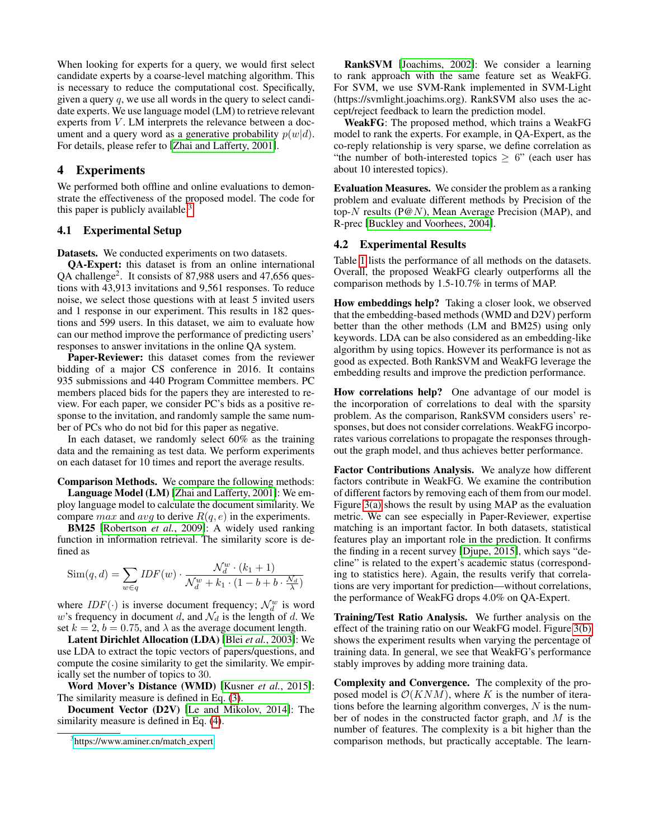When looking for experts for a query, we would first select candidate experts by a coarse-level matching algorithm. This is necessary to reduce the computational cost. Specifically, given a query  $q$ , we use all words in the query to select candidate experts. We use language model (LM) to retrieve relevant experts from  $V$ . LM interprets the relevance between a document and a query word as a generative probability  $p(w|d)$ . For details, please refer to [\[Zhai and Lafferty, 2001\]](#page-6-24).

#### 4 Experiments

We performed both offline and online evaluations to demonstrate the effectiveness of the proposed model. The code for this paper is publicly available. $3$ 

#### 4.1 Experimental Setup

Datasets. We conducted experiments on two datasets.

QA-Expert: this dataset is from an online international QA challenge<sup>2</sup>. It consists of 87,988 users and 47,656 questions with 43,913 invitations and 9,561 responses. To reduce noise, we select those questions with at least 5 invited users and 1 response in our experiment. This results in 182 questions and 599 users. In this dataset, we aim to evaluate how can our method improve the performance of predicting users' responses to answer invitations in the online QA system.

Paper-Reviewer: this dataset comes from the reviewer bidding of a major CS conference in 2016. It contains 935 submissions and 440 Program Committee members. PC members placed bids for the papers they are interested to review. For each paper, we consider PC's bids as a positive response to the invitation, and randomly sample the same number of PCs who do not bid for this paper as negative.

In each dataset, we randomly select 60% as the training data and the remaining as test data. We perform experiments on each dataset for 10 times and report the average results.

Comparison Methods. We compare the following methods:

Language Model (LM) [\[Zhai and Lafferty, 2001\]](#page-6-24): We employ language model to calculate the document similarity. We compare *max* and *avg* to derive  $R(q, e)$  in the experiments.

BM25 [\[Robertson](#page-6-33) *et al.*, 2009]: A widely used ranking function in information retrieval. The similarity score is defined as

$$
\text{Sim}(q, d) = \sum_{w \in q} IDF(w) \cdot \frac{\mathcal{N}_d^w \cdot (k_1 + 1)}{\mathcal{N}_d^w + k_1 \cdot (1 - b + b \cdot \frac{\mathcal{N}_d}{\lambda})}
$$

where  $IDF(\cdot)$  is inverse document frequency;  $\mathcal{N}_d^w$  is word w's frequency in document d, and  $\mathcal{N}_d$  is the length of d. We set  $k = 2$ ,  $b = 0.75$ , and  $\lambda$  as the average document length.

Latent Dirichlet Allocation (LDA) [Blei *et al.*[, 2003\]](#page-6-34): We use LDA to extract the topic vectors of papers/questions, and compute the cosine similarity to get the similarity. We empirically set the number of topics to 30.

Word Mover's Distance (WMD) [\[Kusner](#page-6-29) *et al.*, 2015]: The similarity measure is defined in Eq. [\(3\)](#page-2-2).

Document Vector (D2V) [\[Le and Mikolov, 2014\]](#page-6-30): The similarity measure is defined in Eq. [\(4\)](#page-3-0).

RankSVM [\[Joachims, 2002\]](#page-6-35): We consider a learning to rank approach with the same feature set as WeakFG. For SVM, we use SVM-Rank implemented in SVM-Light (https://svmlight.joachims.org). RankSVM also uses the accept/reject feedback to learn the prediction model.

WeakFG: The proposed method, which trains a WeakFG model to rank the experts. For example, in QA-Expert, as the co-reply relationship is very sparse, we define correlation as "the number of both-interested topics  $\geq 6$ " (each user has about 10 interested topics).

Evaluation Measures. We consider the problem as a ranking problem and evaluate different methods by Precision of the top- $N$  results (P@N), Mean Average Precision (MAP), and R-prec [\[Buckley and Voorhees, 2004\]](#page-6-36).

### 4.2 Experimental Results

Table [1](#page-5-0) lists the performance of all methods on the datasets. Overall, the proposed WeakFG clearly outperforms all the comparison methods by 1.5-10.7% in terms of MAP.

How embeddings help? Taking a closer look, we observed that the embedding-based methods (WMD and D2V) perform better than the other methods (LM and BM25) using only keywords. LDA can be also considered as an embedding-like algorithm by using topics. However its performance is not as good as expected. Both RankSVM and WeakFG leverage the embedding results and improve the prediction performance.

How correlations help? One advantage of our model is the incorporation of correlations to deal with the sparsity problem. As the comparison, RankSVM considers users' responses, but does not consider correlations. WeakFG incorporates various correlations to propagate the responses throughout the graph model, and thus achieves better performance.

Factor Contributions Analysis. We analyze how different factors contribute in WeakFG. We examine the contribution of different factors by removing each of them from our model. Figure [3\(a\)](#page-5-1) shows the result by using MAP as the evaluation metric. We can see especially in Paper-Reviewer, expertise matching is an important factor. In both datasets, statistical features play an important role in the prediction. It confirms the finding in a recent survey [\[Djupe, 2015\]](#page-6-3), which says "decline" is related to the expert's academic status (corresponding to statistics here). Again, the results verify that correlations are very important for prediction—without correlations, the performance of WeakFG drops 4.0% on QA-Expert.

Training/Test Ratio Analysis. We further analysis on the effect of the training ratio on our WeakFG model. Figure [3\(b\)](#page-5-2) shows the experiment results when varying the percentage of training data. In general, we see that WeakFG's performance stably improves by adding more training data.

Complexity and Convergence. The complexity of the proposed model is  $\mathcal{O}(KNM)$ , where K is the number of iterations before the learning algorithm converges,  $N$  is the number of nodes in the constructed factor graph, and M is the number of features. The complexity is a bit higher than the comparison methods, but practically acceptable. The learn-

<span id="page-4-0"></span><sup>&</sup>lt;sup>3</sup>[https://www.aminer.cn/match](https://www.aminer.cn/match_expert)\_expert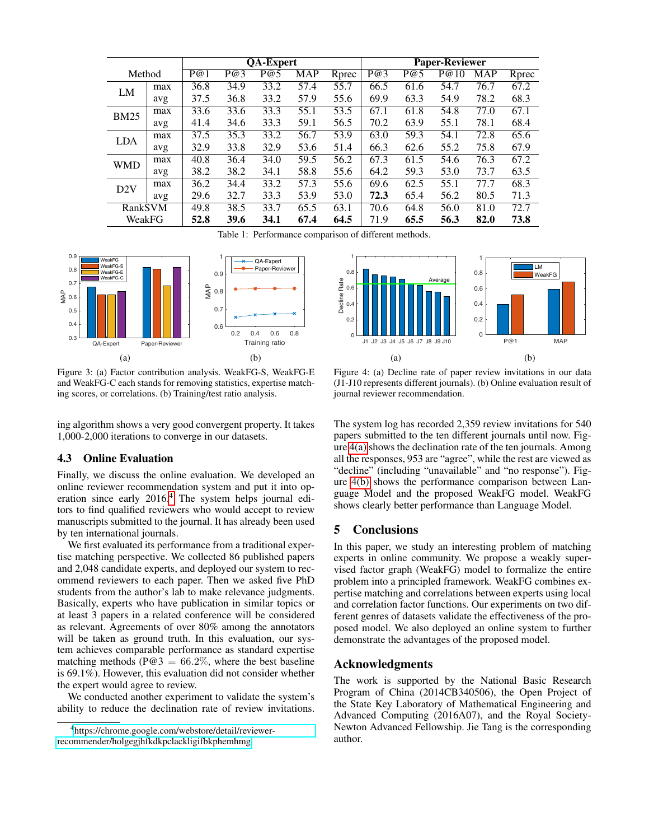<span id="page-5-0"></span>

|             |     | QA-Expert |      |      |            |       | <b>Paper-Reviewer</b> |      |      |      |       |
|-------------|-----|-----------|------|------|------------|-------|-----------------------|------|------|------|-------|
| Method      |     | P@1       | P@3  | P@5  | <b>MAP</b> | Rprec | P@3                   | P@5  | P@10 | MAP  | Rprec |
| LM          | max | 36.8      | 34.9 | 33.2 | 57.4       | 55.7  | 66.5                  | 61.6 | 54.7 | 76.7 | 67.2  |
|             | avg | 37.5      | 36.8 | 33.2 | 57.9       | 55.6  | 69.9                  | 63.3 | 54.9 | 78.2 | 68.3  |
| <b>BM25</b> | max | 33.6      | 33.6 | 33.3 | 55.1       | 53.5  | 67.1                  | 61.8 | 54.8 | 77.0 | 67.1  |
|             | avg | 41.4      | 34.6 | 33.3 | 59.1       | 56.5  | 70.2                  | 63.9 | 55.1 | 78.1 | 68.4  |
| <b>LDA</b>  | max | 37.5      | 35.3 | 33.2 | 56.7       | 53.9  | 63.0                  | 59.3 | 54.1 | 72.8 | 65.6  |
|             | avg | 32.9      | 33.8 | 32.9 | 53.6       | 51.4  | 66.3                  | 62.6 | 55.2 | 75.8 | 67.9  |
| <b>WMD</b>  | max | 40.8      | 36.4 | 34.0 | 59.5       | 56.2  | 67.3                  | 61.5 | 54.6 | 76.3 | 67.2  |
|             | avg | 38.2      | 38.2 | 34.1 | 58.8       | 55.6  | 64.2                  | 59.3 | 53.0 | 73.7 | 63.5  |
| D2V         | max | 36.2      | 34.4 | 33.2 | 57.3       | 55.6  | 69.6                  | 62.5 | 55.1 | 77.7 | 68.3  |
|             | avg | 29.6      | 32.7 | 33.3 | 53.9       | 53.0  | 72.3                  | 65.4 | 56.2 | 80.5 | 71.3  |
| RankSVM     |     | 49.8      | 38.5 | 33.7 | 65.5       | 63.1  | 70.6                  | 64.8 | 56.0 | 81.0 | 72.7  |
| WeakFG      |     | 52.8      | 39.6 | 34.1 | 67.4       | 64.5  | 71.9                  | 65.5 | 56.3 | 82.0 | 73.8  |

<span id="page-5-2"></span>Table 1: Performance comparison of different methods.

<span id="page-5-1"></span>



Figure 3: (a) Factor contribution analysis. WeakFG-S, WeakFG-E and WeakFG-C each stands for removing statistics, expertise matching scores, or correlations. (b) Training/test ratio analysis.

ing algorithm shows a very good convergent property. It takes 1,000-2,000 iterations to converge in our datasets.

#### 4.3 Online Evaluation

Finally, we discuss the online evaluation. We developed an online reviewer recommendation system and put it into operation since early 2016.[4](#page-5-3) The system helps journal editors to find qualified reviewers who would accept to review manuscripts submitted to the journal. It has already been used by ten international journals.

We first evaluated its performance from a traditional expertise matching perspective. We collected 86 published papers and 2,048 candidate experts, and deployed our system to recommend reviewers to each paper. Then we asked five PhD students from the author's lab to make relevance judgments. Basically, experts who have publication in similar topics or at least 3 papers in a related conference will be considered as relevant. Agreements of over 80% among the annotators will be taken as ground truth. In this evaluation, our system achieves comparable performance as standard expertise matching methods (P@3 =  $66.2\%$ , where the best baseline is 69.1%). However, this evaluation did not consider whether the expert would agree to review.

We conducted another experiment to validate the system's ability to reduce the declination rate of review invitations.

<span id="page-5-5"></span><span id="page-5-4"></span>Figure 4: (a) Decline rate of paper review invitations in our data (J1-J10 represents different journals). (b) Online evaluation result of journal reviewer recommendation.

The system log has recorded 2,359 review invitations for 540 papers submitted to the ten different journals until now. Figure [4\(a\)](#page-5-4) shows the declination rate of the ten journals. Among all the responses, 953 are "agree", while the rest are viewed as "decline" (including "unavailable" and "no response"). Figure [4\(b\)](#page-5-5) shows the performance comparison between Language Model and the proposed WeakFG model. WeakFG shows clearly better performance than Language Model.

## 5 Conclusions

In this paper, we study an interesting problem of matching experts in online community. We propose a weakly supervised factor graph (WeakFG) model to formalize the entire problem into a principled framework. WeakFG combines expertise matching and correlations between experts using local and correlation factor functions. Our experiments on two different genres of datasets validate the effectiveness of the proposed model. We also deployed an online system to further demonstrate the advantages of the proposed model.

## Acknowledgments

The work is supported by the National Basic Research Program of China (2014CB340506), the Open Project of the State Key Laboratory of Mathematical Engineering and Advanced Computing (2016A07), and the Royal Society-Newton Advanced Fellowship. Jie Tang is the corresponding author.

<span id="page-5-3"></span><sup>4</sup> [https://chrome.google.com/webstore/detail/reviewer](https://chrome.google.com/webstore/detail/reviewer-recommender/holgegjhfkdkpclackligifbkphemhmg)[recommender/holgegjhfkdkpclackligifbkphemhmg](https://chrome.google.com/webstore/detail/reviewer-recommender/holgegjhfkdkpclackligifbkphemhmg)